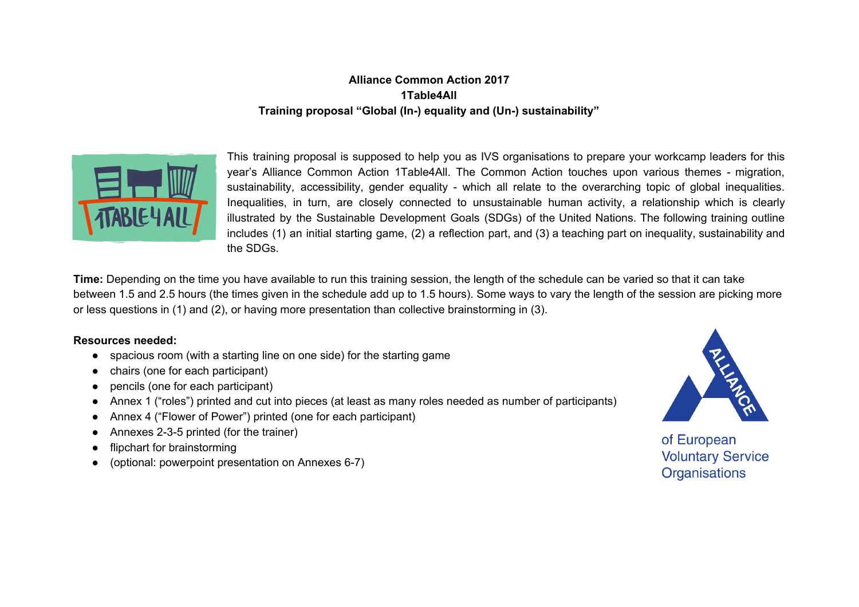# **Alliance Common Action 2017 1Table4All Training proposal "Global (In-) equality and (Un-) sustainability"**



This training proposal is supposed to help you as IVS organisations to prepare your workcamp leaders for this year's Alliance Common Action 1Table4All. The Common Action touches upon various themes - migration, sustainability, accessibility, gender equality - which all relate to the overarching topic of global inequalities. Inequalities, in turn, are closely connected to unsustainable human activity, a relationship which is clearly illustrated by the Sustainable Development Goals (SDGs) of the United Nations. The following training outline includes (1) an initial starting game, (2) a reflection part, and (3) a teaching part on inequality, sustainability and the SDGs.

**Time:** Depending on the time you have available to run this training session, the length of the schedule can be varied so that it can take between 1.5 and 2.5 hours (the times given in the schedule add up to 1.5 hours). Some ways to vary the length of the session are picking more or less questions in (1) and (2), or having more presentation than collective brainstorming in (3).

## **Resources needed:**

- spacious room (with a starting line on one side) for the starting game
- chairs (one for each participant)
- pencils (one for each participant)
- Annex 1 ("roles") printed and cut into pieces (at least as many roles needed as number of participants)
- Annex 4 ("Flower of Power") printed (one for each participant)
- Annexes 2-3-5 printed (for the trainer)
- flipchart for brainstorming
- (optional: powerpoint presentation on Annexes 6-7)



of European **Voluntary Service Organisations**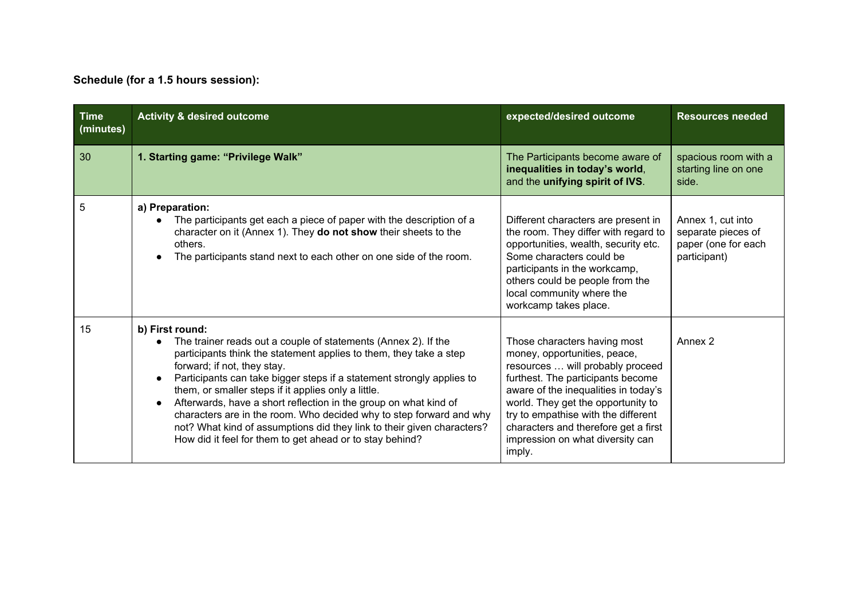# **Schedule (for a 1.5 hours session):**

| <b>Time</b><br>(minutes) | <b>Activity &amp; desired outcome</b>                                                                                                                                                                                                                                                                                                                                                                                                                                                                                                                                                                                | expected/desired outcome                                                                                                                                                                                                                                                                                                                         | <b>Resources needed</b>                                                        |
|--------------------------|----------------------------------------------------------------------------------------------------------------------------------------------------------------------------------------------------------------------------------------------------------------------------------------------------------------------------------------------------------------------------------------------------------------------------------------------------------------------------------------------------------------------------------------------------------------------------------------------------------------------|--------------------------------------------------------------------------------------------------------------------------------------------------------------------------------------------------------------------------------------------------------------------------------------------------------------------------------------------------|--------------------------------------------------------------------------------|
| 30                       | 1. Starting game: "Privilege Walk"                                                                                                                                                                                                                                                                                                                                                                                                                                                                                                                                                                                   | The Participants become aware of<br>inequalities in today's world,<br>and the unifying spirit of IVS.                                                                                                                                                                                                                                            | spacious room with a<br>starting line on one<br>side.                          |
| 5                        | a) Preparation:<br>The participants get each a piece of paper with the description of a<br>character on it (Annex 1). They do not show their sheets to the<br>others.<br>The participants stand next to each other on one side of the room.                                                                                                                                                                                                                                                                                                                                                                          | Different characters are present in<br>the room. They differ with regard to<br>opportunities, wealth, security etc.<br>Some characters could be<br>participants in the workcamp,<br>others could be people from the<br>local community where the<br>workcamp takes place.                                                                        | Annex 1, cut into<br>separate pieces of<br>paper (one for each<br>participant) |
| 15                       | b) First round:<br>The trainer reads out a couple of statements (Annex 2). If the<br>$\bullet$<br>participants think the statement applies to them, they take a step<br>forward; if not, they stay.<br>Participants can take bigger steps if a statement strongly applies to<br>them, or smaller steps if it applies only a little.<br>Afterwards, have a short reflection in the group on what kind of<br>characters are in the room. Who decided why to step forward and why<br>not? What kind of assumptions did they link to their given characters?<br>How did it feel for them to get ahead or to stay behind? | Those characters having most<br>money, opportunities, peace,<br>resources  will probably proceed<br>furthest. The participants become<br>aware of the inequalities in today's<br>world. They get the opportunity to<br>try to empathise with the different<br>characters and therefore get a first<br>impression on what diversity can<br>imply. | Annex <sub>2</sub>                                                             |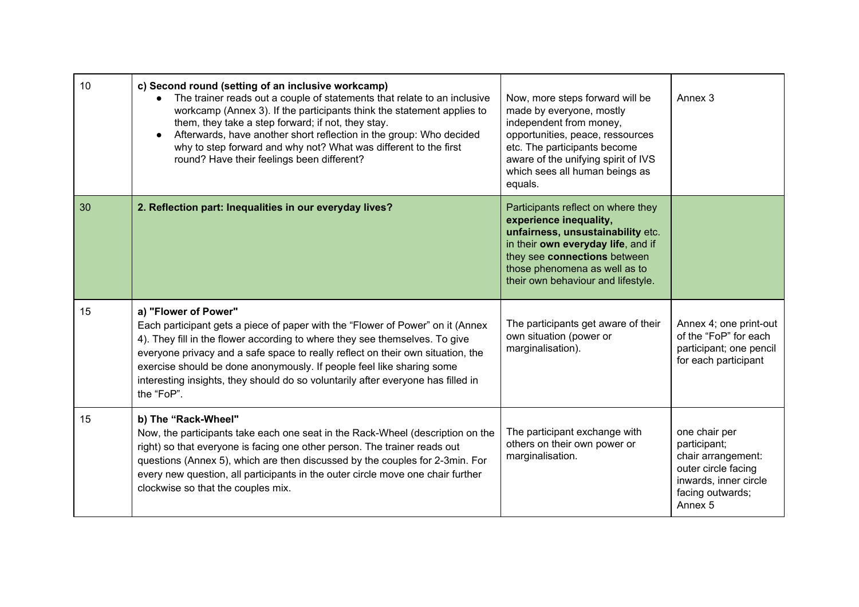| 10 | c) Second round (setting of an inclusive workcamp)<br>The trainer reads out a couple of statements that relate to an inclusive<br>workcamp (Annex 3). If the participants think the statement applies to<br>them, they take a step forward; if not, they stay.<br>Afterwards, have another short reflection in the group: Who decided<br>$\bullet$<br>why to step forward and why not? What was different to the first<br>round? Have their feelings been different? | Now, more steps forward will be<br>made by everyone, mostly<br>independent from money,<br>opportunities, peace, ressources<br>etc. The participants become<br>aware of the unifying spirit of IVS<br>which sees all human beings as<br>equals. | Annex 3                                                                                                                                       |
|----|----------------------------------------------------------------------------------------------------------------------------------------------------------------------------------------------------------------------------------------------------------------------------------------------------------------------------------------------------------------------------------------------------------------------------------------------------------------------|------------------------------------------------------------------------------------------------------------------------------------------------------------------------------------------------------------------------------------------------|-----------------------------------------------------------------------------------------------------------------------------------------------|
| 30 | 2. Reflection part: Inequalities in our everyday lives?                                                                                                                                                                                                                                                                                                                                                                                                              | Participants reflect on where they<br>experience inequality,<br>unfairness, unsustainability etc.<br>in their own everyday life, and if<br>they see connections between<br>those phenomena as well as to<br>their own behaviour and lifestyle. |                                                                                                                                               |
| 15 | a) "Flower of Power"<br>Each participant gets a piece of paper with the "Flower of Power" on it (Annex<br>4). They fill in the flower according to where they see themselves. To give<br>everyone privacy and a safe space to really reflect on their own situation, the<br>exercise should be done anonymously. If people feel like sharing some<br>interesting insights, they should do so voluntarily after everyone has filled in<br>the "FoP".                  | The participants get aware of their<br>own situation (power or<br>marginalisation).                                                                                                                                                            | Annex 4; one print-out<br>of the "FoP" for each<br>participant; one pencil<br>for each participant                                            |
| 15 | b) The "Rack-Wheel"<br>Now, the participants take each one seat in the Rack-Wheel (description on the<br>right) so that everyone is facing one other person. The trainer reads out<br>questions (Annex 5), which are then discussed by the couples for 2-3min. For<br>every new question, all participants in the outer circle move one chair further<br>clockwise so that the couples mix.                                                                          | The participant exchange with<br>others on their own power or<br>marginalisation.                                                                                                                                                              | one chair per<br>participant;<br>chair arrangement:<br>outer circle facing<br>inwards, inner circle<br>facing outwards;<br>Annex <sub>5</sub> |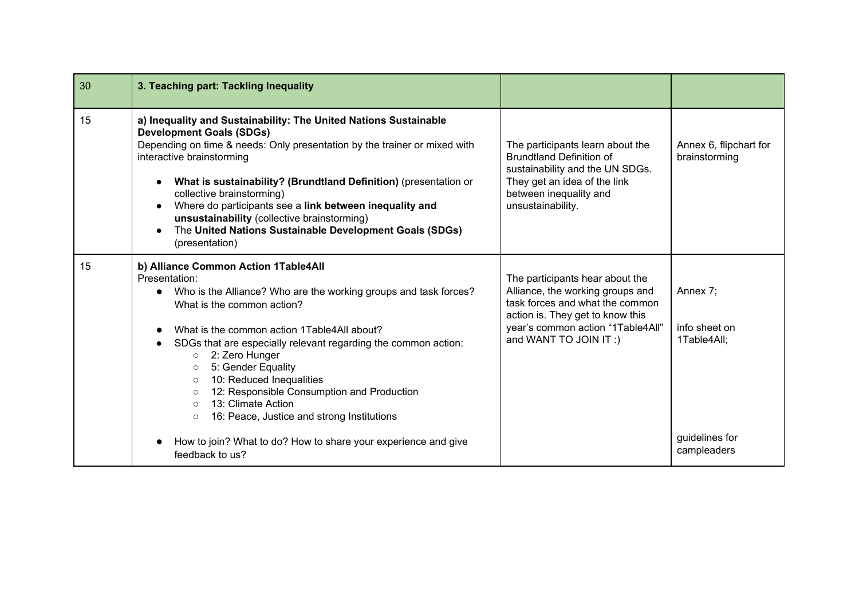| 30 | 3. Teaching part: Tackling Inequality                                                                                                                                                                                                                                                                                                                                                                                                                                                                                                                                                                                        |                                                                                                                                                                                                           |                                                                           |
|----|------------------------------------------------------------------------------------------------------------------------------------------------------------------------------------------------------------------------------------------------------------------------------------------------------------------------------------------------------------------------------------------------------------------------------------------------------------------------------------------------------------------------------------------------------------------------------------------------------------------------------|-----------------------------------------------------------------------------------------------------------------------------------------------------------------------------------------------------------|---------------------------------------------------------------------------|
| 15 | a) Inequality and Sustainability: The United Nations Sustainable<br><b>Development Goals (SDGs)</b><br>Depending on time & needs: Only presentation by the trainer or mixed with<br>interactive brainstorming<br>What is sustainability? (Brundtland Definition) (presentation or<br>collective brainstorming)<br>Where do participants see a link between inequality and<br>unsustainability (collective brainstorming)<br>The United Nations Sustainable Development Goals (SDGs)<br>(presentation)                                                                                                                        | The participants learn about the<br><b>Brundtland Definition of</b><br>sustainability and the UN SDGs.<br>They get an idea of the link<br>between inequality and<br>unsustainability.                     | Annex 6, flipchart for<br>brainstorming                                   |
| 15 | b) Alliance Common Action 1Table4All<br>Presentation:<br>Who is the Alliance? Who are the working groups and task forces?<br>$\bullet$<br>What is the common action?<br>What is the common action 1Table4All about?<br>SDGs that are especially relevant regarding the common action:<br>o 2: Zero Hunger<br>5: Gender Equality<br>$\circ$<br>10: Reduced Inequalities<br>$\circ$<br>12: Responsible Consumption and Production<br>$\circ$<br>13: Climate Action<br>$\bigcirc$<br>16: Peace, Justice and strong Institutions<br>$\circ$<br>How to join? What to do? How to share your experience and give<br>feedback to us? | The participants hear about the<br>Alliance, the working groups and<br>task forces and what the common<br>action is. They get to know this<br>year's common action "1Table4All"<br>and WANT TO JOIN IT :) | Annex 7;<br>info sheet on<br>1Table4All;<br>guidelines for<br>campleaders |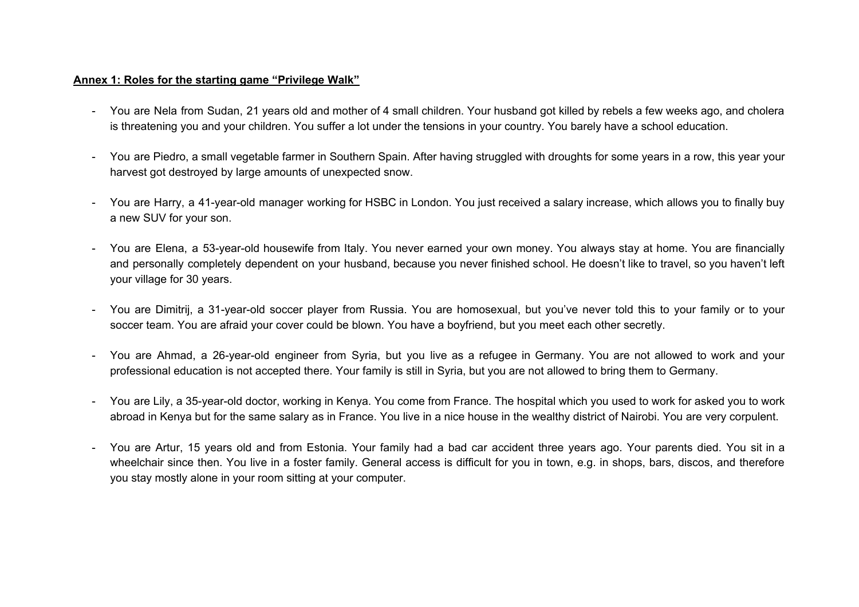#### **Annex 1: Roles for the starting game "Privilege Walk"**

- You are Nela from Sudan, 21 years old and mother of 4 small children. Your husband got killed by rebels a few weeks ago, and cholera is threatening you and your children. You suffer a lot under the tensions in your country. You barely have a school education.
- You are Piedro, a small vegetable farmer in Southern Spain. After having struggled with droughts for some years in a row, this year your harvest got destroyed by large amounts of unexpected snow.
- You are Harry, a 41-year-old manager working for HSBC in London. You just received a salary increase, which allows you to finally buy a new SUV for your son.
- You are Elena, a 53-year-old housewife from Italy. You never earned your own money. You always stay at home. You are financially and personally completely dependent on your husband, because you never finished school. He doesn't like to travel, so you haven't left your village for 30 years.
- You are Dimitrij, a 31-year-old soccer player from Russia. You are homosexual, but you've never told this to your family or to your soccer team. You are afraid your cover could be blown. You have a boyfriend, but you meet each other secretly.
- You are Ahmad, a 26-year-old engineer from Syria, but you live as a refugee in Germany. You are not allowed to work and your professional education is not accepted there. Your family is still in Syria, but you are not allowed to bring them to Germany.
- You are Lily, a 35-year-old doctor, working in Kenya. You come from France. The hospital which you used to work for asked you to work abroad in Kenya but for the same salary as in France. You live in a nice house in the wealthy district of Nairobi. You are very corpulent.
- You are Artur, 15 years old and from Estonia. Your family had a bad car accident three years ago. Your parents died. You sit in a wheelchair since then. You live in a foster family. General access is difficult for you in town, e.g. in shops, bars, discos, and therefore you stay mostly alone in your room sitting at your computer.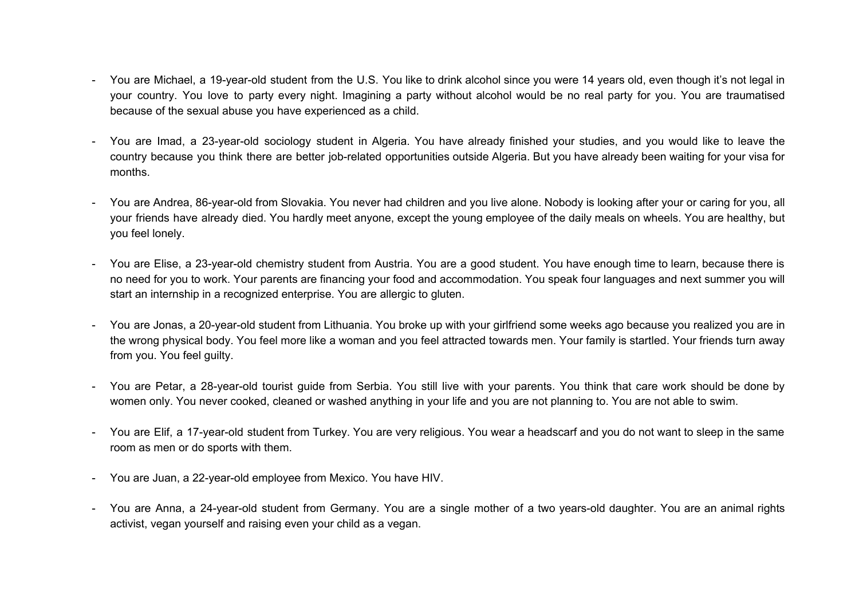- You are Michael, a 19-year-old student from the U.S. You like to drink alcohol since you were 14 years old, even though it's not legal in your country. You love to party every night. Imagining a party without alcohol would be no real party for you. You are traumatised because of the sexual abuse you have experienced as a child.
- You are Imad, a 23-year-old sociology student in Algeria. You have already finished your studies, and you would like to leave the country because you think there are better job-related opportunities outside Algeria. But you have already been waiting for your visa for months.
- You are Andrea, 86-year-old from Slovakia. You never had children and you live alone. Nobody is looking after your or caring for you, all your friends have already died. You hardly meet anyone, except the young employee of the daily meals on wheels. You are healthy, but you feel lonely.
- You are Elise, a 23-year-old chemistry student from Austria. You are a good student. You have enough time to learn, because there is no need for you to work. Your parents are financing your food and accommodation. You speak four languages and next summer you will start an internship in a recognized enterprise. You are allergic to gluten.
- You are Jonas, a 20-year-old student from Lithuania. You broke up with your girlfriend some weeks ago because you realized you are in the wrong physical body. You feel more like a woman and you feel attracted towards men. Your family is startled. Your friends turn away from you. You feel guilty.
- You are Petar, a 28-year-old tourist guide from Serbia. You still live with your parents. You think that care work should be done by women only. You never cooked, cleaned or washed anything in your life and you are not planning to. You are not able to swim.
- You are Elif, a 17-year-old student from Turkey. You are very religious. You wear a headscarf and you do not want to sleep in the same room as men or do sports with them.
- You are Juan, a 22-year-old employee from Mexico. You have HIV.
- You are Anna, a 24-year-old student from Germany. You are a single mother of a two years-old daughter. You are an animal rights activist, vegan yourself and raising even your child as a vegan.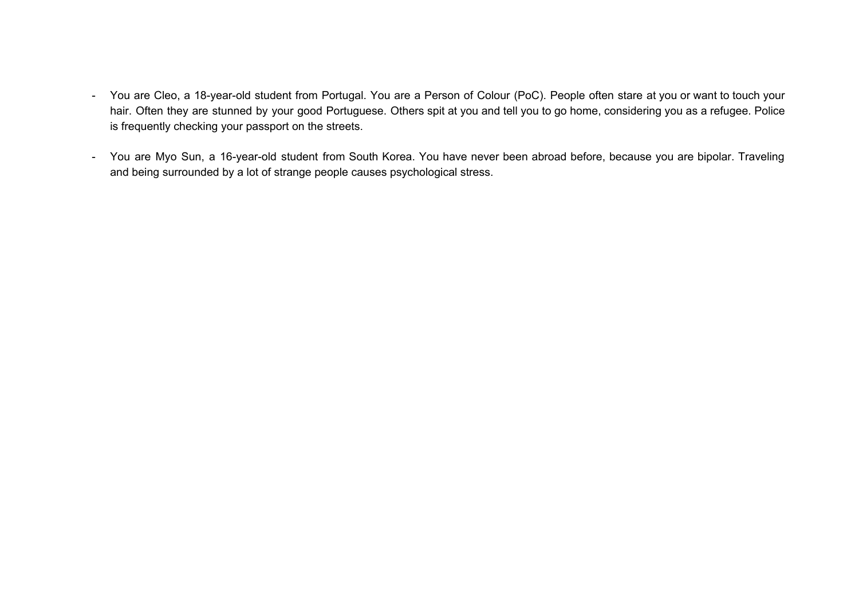- You are Cleo, a 18-year-old student from Portugal. You are a Person of Colour (PoC). People often stare at you or want to touch your hair. Often they are stunned by your good Portuguese. Others spit at you and tell you to go home, considering you as a refugee. Police is frequently checking your passport on the streets.
- You are Myo Sun, a 16-year-old student from South Korea. You have never been abroad before, because you are bipolar. Traveling and being surrounded by a lot of strange people causes psychological stress.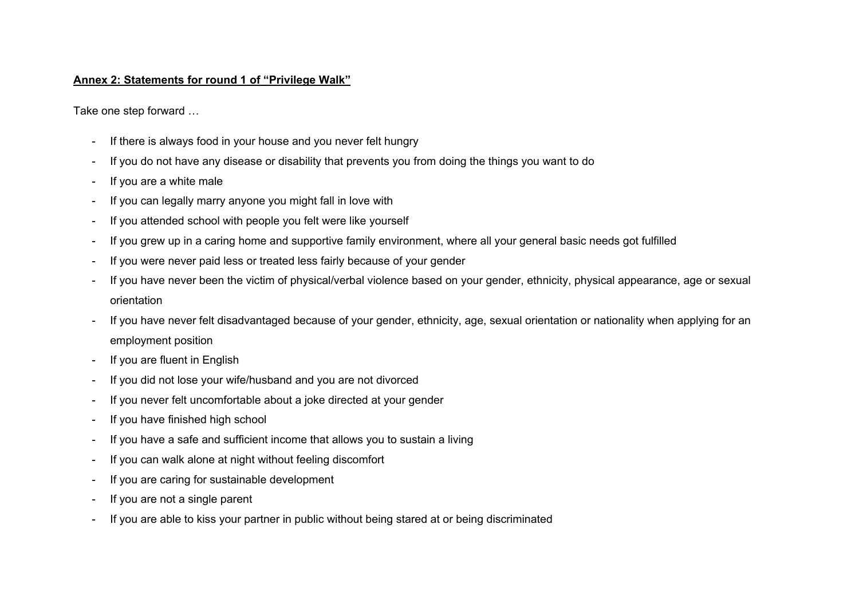## **Annex 2: Statements for round 1 of "Privilege Walk"**

Take one step forward …

- If there is always food in your house and you never felt hungry
- If you do not have any disease or disability that prevents you from doing the things you want to do
- If you are a white male
- If you can legally marry anyone you might fall in love with
- If you attended school with people you felt were like yourself
- If you grew up in a caring home and supportive family environment, where all your general basic needs got fulfilled
- If you were never paid less or treated less fairly because of your gender
- If you have never been the victim of physical/verbal violence based on your gender, ethnicity, physical appearance, age or sexual orientation
- If you have never felt disadvantaged because of your gender, ethnicity, age, sexual orientation or nationality when applying for an employment position
- If you are fluent in English
- If you did not lose your wife/husband and you are not divorced
- If you never felt uncomfortable about a joke directed at your gender
- If you have finished high school
- If you have a safe and sufficient income that allows you to sustain a living
- If you can walk alone at night without feeling discomfort
- If you are caring for sustainable development
- If you are not a single parent
- If you are able to kiss your partner in public without being stared at or being discriminated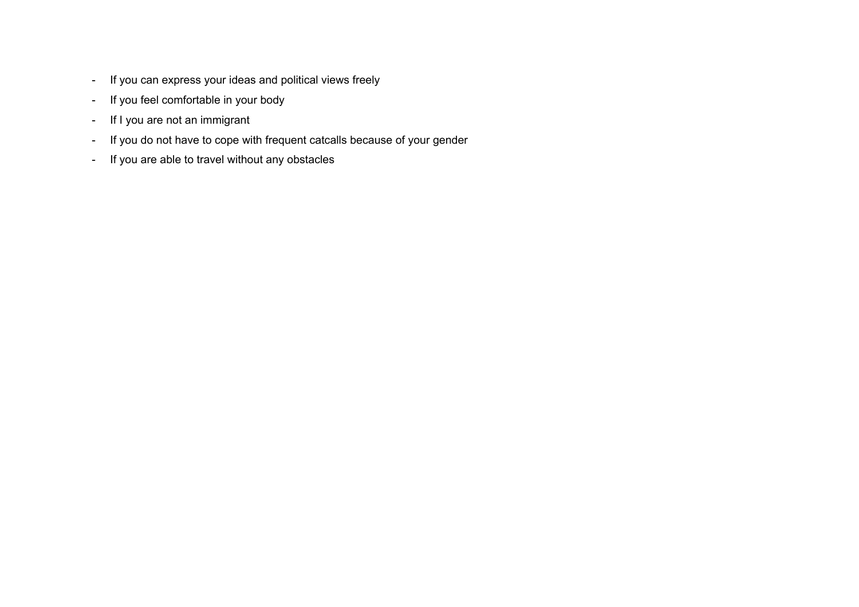- If you can express your ideas and political views freely
- If you feel comfortable in your body
- If I you are not an immigrant
- If you do not have to cope with frequent catcalls because of your gender
- If you are able to travel without any obstacles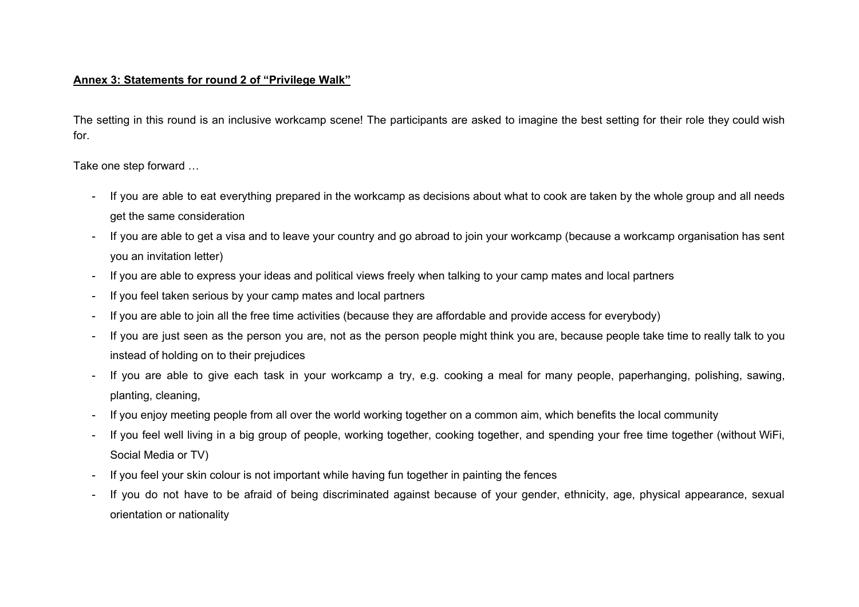## **Annex 3: Statements for round 2 of "Privilege Walk"**

The setting in this round is an inclusive workcamp scene! The participants are asked to imagine the best setting for their role they could wish for.

Take one step forward …

- If you are able to eat everything prepared in the workcamp as decisions about what to cook are taken by the whole group and all needs get the same consideration
- If you are able to get a visa and to leave your country and go abroad to join your workcamp (because a workcamp organisation has sent you an invitation letter)
- If you are able to express your ideas and political views freely when talking to your camp mates and local partners
- If you feel taken serious by your camp mates and local partners
- If you are able to join all the free time activities (because they are affordable and provide access for everybody)
- If you are just seen as the person you are, not as the person people might think you are, because people take time to really talk to you instead of holding on to their prejudices
- If you are able to give each task in your workcamp a try, e.g. cooking a meal for many people, paperhanging, polishing, sawing, planting, cleaning,
- If you enjoy meeting people from all over the world working together on a common aim, which benefits the local community
- If you feel well living in a big group of people, working together, cooking together, and spending your free time together (without WiFi, Social Media or TV)
- If you feel your skin colour is not important while having fun together in painting the fences
- If you do not have to be afraid of being discriminated against because of your gender, ethnicity, age, physical appearance, sexual orientation or nationality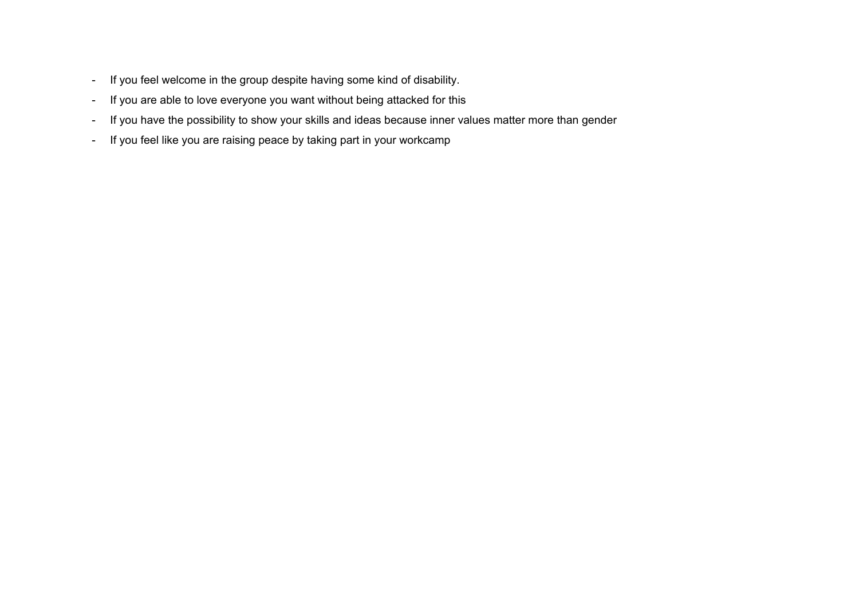- If you feel welcome in the group despite having some kind of disability.
- If you are able to love everyone you want without being attacked for this
- If you have the possibility to show your skills and ideas because inner values matter more than gender
- If you feel like you are raising peace by taking part in your workcamp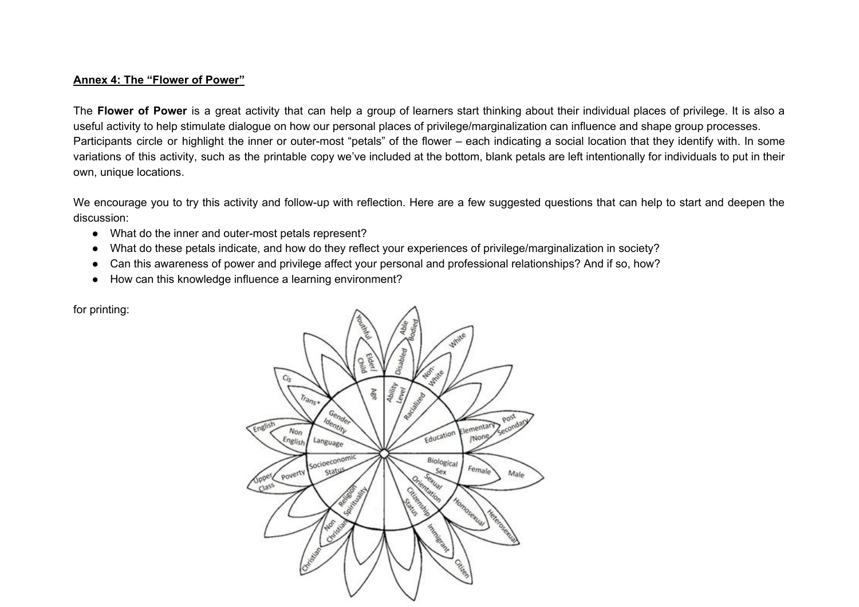#### **Annex 4: The "Flower of Power"**

The **Flower of Power** is a great activity that can help a group of learners start thinking about their individual places of privilege. It is also a useful activity to help stimulate dialogue on how our personal places of privilege/marginalization can influence and shape group processes. Participants circle or highlight the inner or outer-most "petals" of the flower – each indicating a social location that they identify with. In some variations of this activity, such as the printable copy we've included at the bottom, blank petals are left intentionally for individuals to put in their own, unique locations.

We encourage you to try this activity and follow-up with reflection. Here are a few suggested questions that can help to start and deepen the discussion:

- What do the inner and outer-most petals represent?
- What do these petals indicate, and how do they reflect your experiences of privilege/marginalization in society?
- Can this awareness of power and privilege affect your personal and professional relationships? And if so, how?
- How can this knowledge influence a learning environment?

for printing:

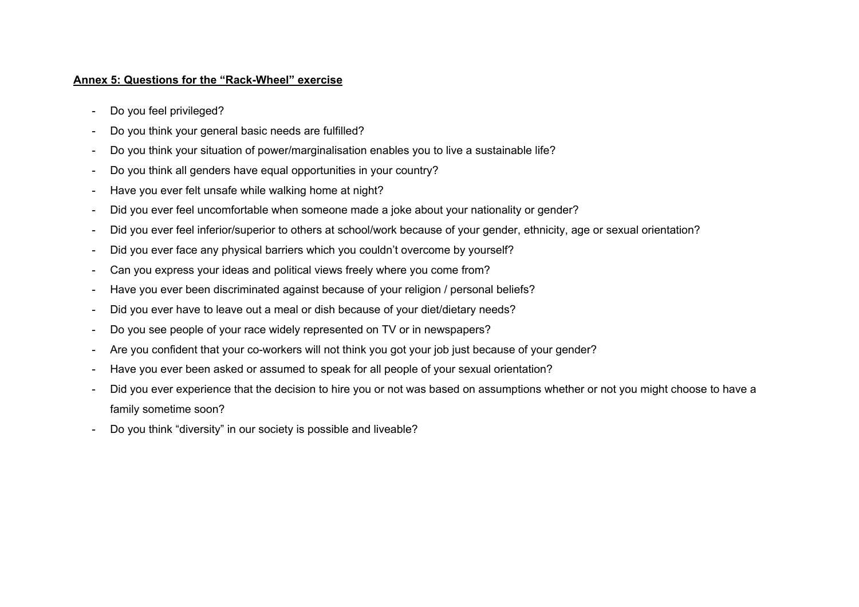#### **Annex 5: Questions for the "Rack-Wheel" exercise**

- Do you feel privileged?
- Do you think your general basic needs are fulfilled?
- Do you think your situation of power/marginalisation enables you to live a sustainable life?
- Do you think all genders have equal opportunities in your country?
- Have you ever felt unsafe while walking home at night?
- Did you ever feel uncomfortable when someone made a joke about your nationality or gender?
- Did you ever feel inferior/superior to others at school/work because of your gender, ethnicity, age or sexual orientation?
- Did you ever face any physical barriers which you couldn't overcome by yourself?
- Can you express your ideas and political views freely where you come from?
- Have you ever been discriminated against because of your religion / personal beliefs?
- Did you ever have to leave out a meal or dish because of your diet/dietary needs?
- Do you see people of your race widely represented on TV or in newspapers?
- Are you confident that your co-workers will not think you got your job just because of your gender?
- Have you ever been asked or assumed to speak for all people of your sexual orientation?
- Did you ever experience that the decision to hire you or not was based on assumptions whether or not you might choose to have a family sometime soon?
- Do you think "diversity" in our society is possible and liveable?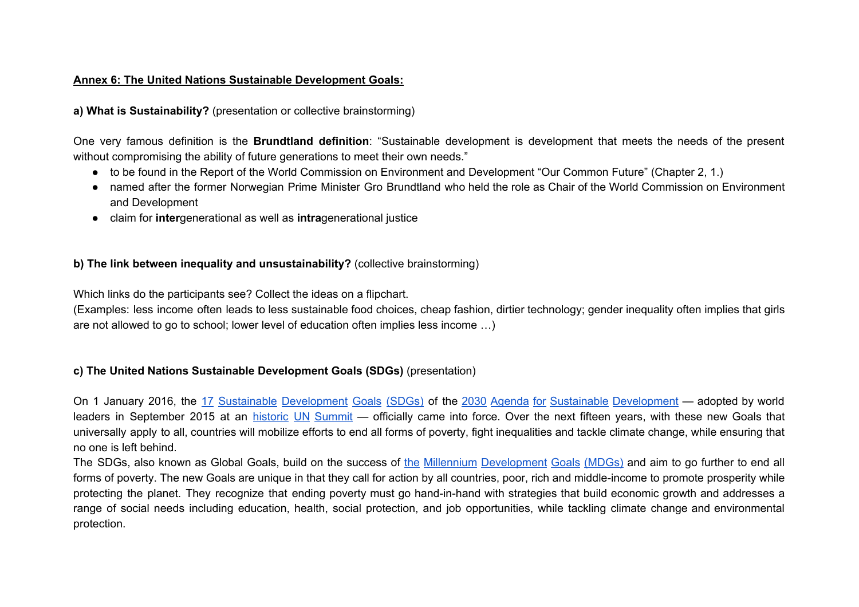## **Annex 6: The United Nations Sustainable Development Goals:**

**a) What is Sustainability?** (presentation or collective brainstorming)

One very famous definition is the **Brundtland definition**: "Sustainable development is development that meets the needs of the present without compromising the ability of future generations to meet their own needs."

- to be found in the Report of the World Commission on Environment and Development "Our Common Future" (Chapter 2, 1.)
- named after the former Norwegian Prime Minister Gro Brundtland who held the role as Chair of the World Commission on Environment and Development
- claim for **inter**generational as well as **intragenerational** justice

# **b) The link between inequality and unsustainability?** (collective brainstorming)

Which links do the participants see? Collect the ideas on a flipchart.

(Examples: less income often leads to less sustainable food choices, cheap fashion, dirtier technology; gender inequality often implies that girls are not allowed to go to school; lower level of education often implies less income …)

# **c) The United Nations Sustainable Development Goals (SDGs)** (presentation)

On [1](http://www.un.org/sustainabledevelopment/sustainable-development-goals/) January 2016, the 17 Sustainable [Development](http://www.un.org/ga/search/view_doc.asp?symbol=A/RES/70/1&Lang=E) Goals (SDGs) of th[e](http://www.un.org/ga/search/view_doc.asp?symbol=A/RES/70/1&Lang=E) 2030 Agenda for Sustainable Development - adopted by world leaders in September 2015 at an [h](http://www.un.org/sustainabledevelopment/summit/)istoric UN [Summit](http://www.un.org/sustainabledevelopment/summit/) — officially came into force. Over the next fifteen years, with these new Goals that universally apply to all, countries will mobilize efforts to end all forms of poverty, fight inequalities and tackle climate change, while ensuring that no one is left behind.

The SDGs, also known as Global Goals, build on [t](http://www.un.org/millenniumgoals/)he success of the Millennium [Development](http://www.un.org/millenniumgoals/) Goals (MDGs) and aim to go further to end all forms of poverty. The new Goals are unique in that they call for action by all countries, poor, rich and middle-income to promote prosperity while protecting the planet. They recognize that ending poverty must go hand-in-hand with strategies that build economic growth and addresses a range of social needs including education, health, social protection, and job opportunities, while tackling climate change and environmental protection.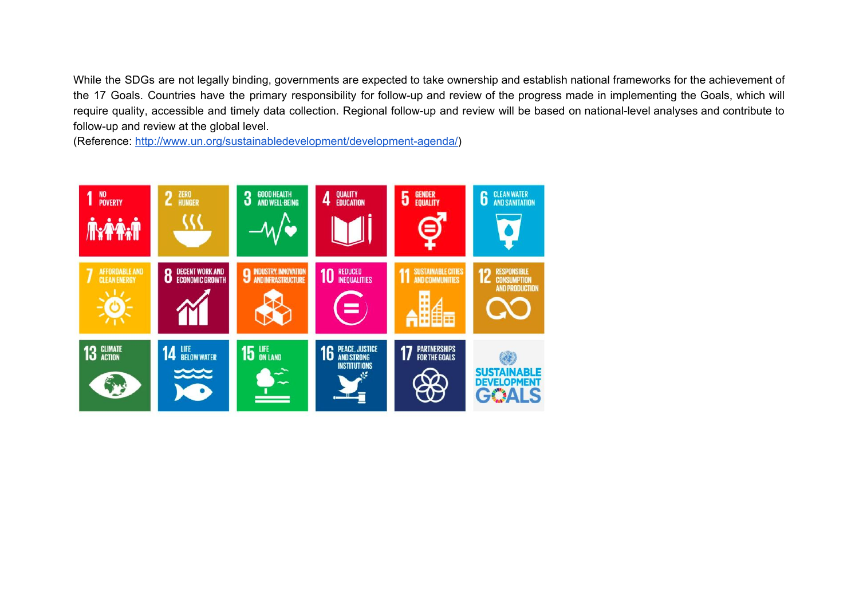While the SDGs are not legally binding, governments are expected to take ownership and establish national frameworks for the achievement of the 17 Goals. Countries have the primary responsibility for follow-up and review of the progress made in implementing the Goals, which will require quality, accessible and timely data collection. Regional follow-up and review will be based on national-level analyses and contribute to follow-up and review at the global level.

(Reference: [http://www.un.org/sustainabledevelopment/development-agenda/\)](http://www.un.org/sustainabledevelopment/development-agenda/)